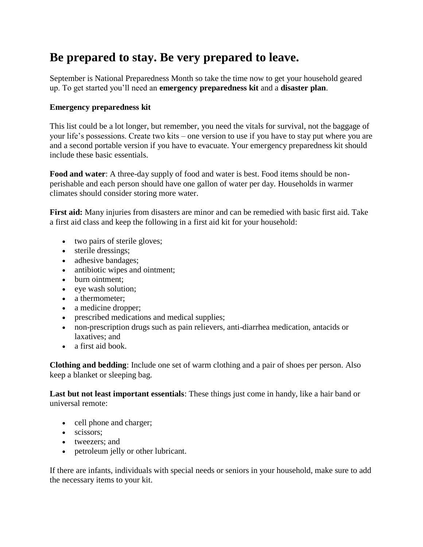## **Be prepared to stay. Be very prepared to leave.**

September is National Preparedness Month so take the time now to get your household geared up. To get started you'll need an **emergency preparedness kit** and a **disaster plan**.

## **Emergency preparedness kit**

This list could be a lot longer, but remember, you need the vitals for survival, not the baggage of your life's possessions. Create two kits – one version to use if you have to stay put where you are and a second portable version if you have to evacuate. Your emergency preparedness kit should include these basic essentials.

**Food and water**: A three-day supply of food and water is best. Food items should be nonperishable and each person should have one gallon of water per day. Households in warmer climates should consider storing more water.

**First aid:** Many injuries from disasters are minor and can be remedied with basic first aid. Take a first aid class and keep the following in a first aid kit for your household:

- two pairs of sterile gloves;
- sterile dressings;
- adhesive bandages;
- antibiotic wipes and ointment;
- burn ointment:
- eye wash solution;
- a thermometer;
- a medicine dropper;
- prescribed medications and medical supplies;
- non-prescription drugs such as pain relievers, anti-diarrhea medication, antacids or laxatives; and
- a first aid book.

**Clothing and bedding**: Include one set of warm clothing and a pair of shoes per person. Also keep a blanket or sleeping bag.

**Last but not least important essentials**: These things just come in handy, like a hair band or universal remote:

- cell phone and charger;
- scissors:
- tweezers; and
- petroleum jelly or other lubricant.

If there are infants, individuals with special needs or seniors in your household, make sure to add the necessary items to your kit.